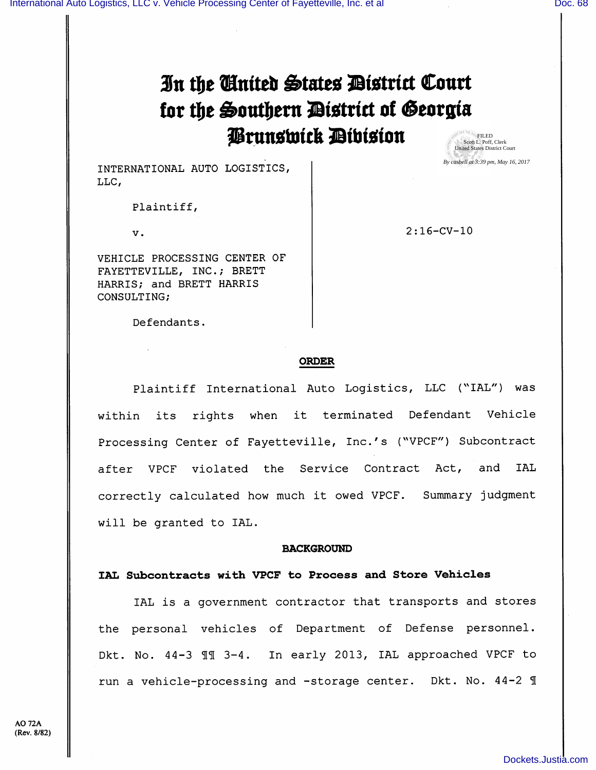# In the Cinited States District Court for the Southern District of Georgia Prunswick Dibision FILED Scott L. Poff, Clerk United States District Court

INTERNATIONAL AUTO LOGISTICS, LLC,

Plaintiff,

V .

VEHICLE PROCESSING CENTER OF FAYETTEVILLE, INC.; BRETT HARRIS; and BRETT HARRIS CONSULTING;

2:16-CV-10

*By casbell at 3:39 pm, May 16, 2017*

#### Defendants.

#### ORDER

Plaintiff International Auto Logistics, LLC ("IAL") was within its rights when it terminated Defendant Vehicle Processing Center of Fayetteville, Inc.'s ("VPCF") Subcontract after VPCF violated the Service Contract Act, and lAL correctly calculated how much it owed VPCF. Summary judgment will be granted to lAL.

#### BACKGROUND

## IAL Subcontracts with VPCF to Process and Store Vehicles

lAL is a government contractor that transports and stores the personal vehicles of Department of Defense personnel. Dkt. No. 44-3 II 3-4. In early 2013, IAL approached VPCF to run a vehicle-processing and -storage center. Dkt. No. 44-2 1

A0 72A (Rev. 8/82)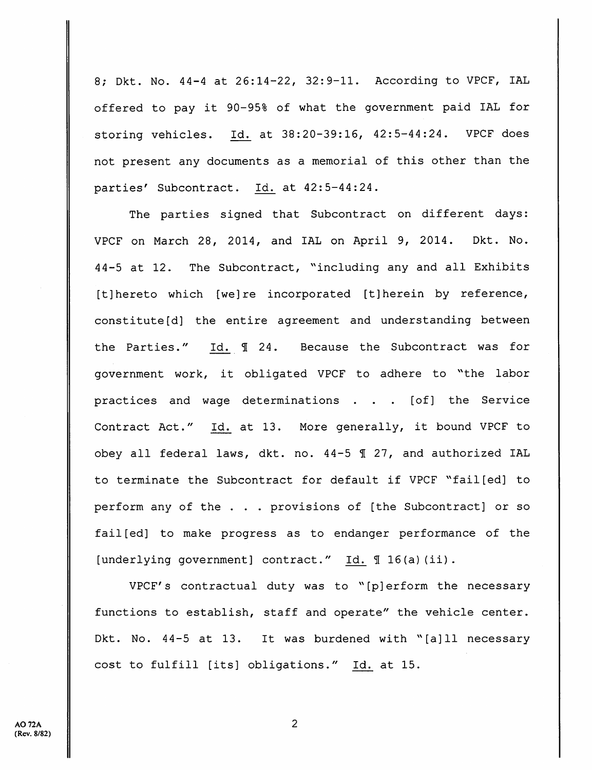8; Dkt. No. 44-4 at 26:14-22, 32:9-11. According to VPCF, lAL offered to pay it 90-95% of what the government paid lAL for storing vehicles. Id. at 38:20-39:16, 42:5-44:24. VPCF does not present any documents as a memorial of this other than the parties' Subcontract. Id. at 42:5-44:24.

The parties signed that Subcontract on different days: VPCF on March 28, 2014, and lAL on April 9, 2014. Dkt. No. 44-5 at 12. The Subcontract, "including any and all Exhibits [t]hereto which [we]re incorporated [t]herein by reference, constitute[d] the entire agreement and understanding between the Parties." Id.  $\text{\ensuremath{\mathfrak{N}}}$  24. Because the Subcontract was for government work, it obligated VPCF to adhere to ^'the labor practices and wage determinations . . . [of] the Service Contract Act." Id. at 13. More generally, it bound VPCF to obey all federal laws, dkt. no.  $44-5$   $\text{I}$  27, and authorized IAL to terminate the Subcontract for default if VPCF ^'fail[ed] to perform any of the . . . provisions of [the Subcontract] or so fail[ed] to make progress as to endanger performance of the [underlying government] contract." Id. 1 16(a) (ii).

VPCF's contractual duty was to ''[p]erform the necessary functions to establish, staff and operate" the vehicle center. Dkt. No. 44-5 at 13. It was burdened with "[a]ll necessary cost to fulfill [its] obligations." Id. at 15.

 $\overline{2}$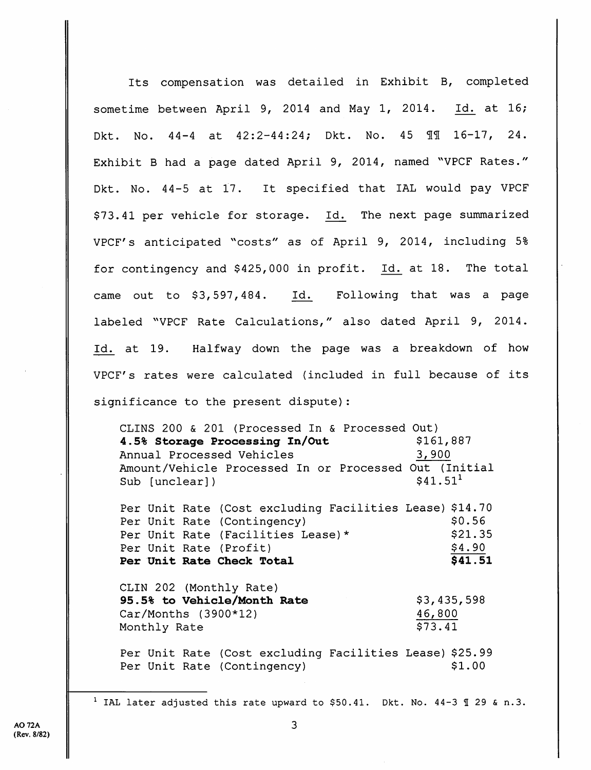Its compensation was detailed in Exhibit B, completed sometime between April 9, 2014 and May 1, 2014. Id. at 16; Dkt. No.  $44-4$  at  $42:2-44:24$ ; Dkt. No.  $45$   $\text{III}$   $16-17$ ,  $24$ . Exhibit B had a page dated April 9, 2014, named "VPCF Rates." Dkt. No. 44-5 at 17. It specified that lAL would pay VPCF \$73.41 per vehicle for storage. Id. The next page summarized VPCF's anticipated "costs" as of April 9, 2014, including 5% for contingency and \$425,000 in profit. Id. at 18. The total came out to \$3, 597, 484. Id. Following that was a page labeled ''VPCF Rate Calculations," also dated April 9, 2014. Id. at 19. Halfway down the page was a breakdown of how VPCF's rates were calculated {included in full because of its significance to the present dispute):

CLINS 200 & 201 (Processed In & Processed Out) 4.5% Storage Processing In/Out \$161,887 Annual Processed Vehicles 3,900 Amount/Vehicle Processed In or Processed Out (Initial  $\text{Sub}$  [unclear])  $\text{ $41.51}^1$ 

Per Unit Rate (Cost excluding Facilities Lease) \$14.70 Per Unit Rate (Contingency) \$0.56 Per Unit Rate (Facilities Lease)\* \$21.35 Per Unit Rate (Profit)  $\frac{$4.90}{}$ <br>**Per Unit Rate Check Total** 541.51 Per Unit Rate Check Total

CLIN 202 (Monthly Rate) 95.5% to Vehicle/Month Rate Car/Months (3900\*12) Monthly Rate \$3,435,598 46,800 \$73.41

Per Unit Rate (Cost excluding Facilities Lease) \$25.99 Per Unit Rate (Contingency)  $$1.00$ 

<sup>1</sup> IAL later adjusted this rate upward to \$50.41. Dkt. No. 44-3  $\text{\textsterling}$  29 & n.3.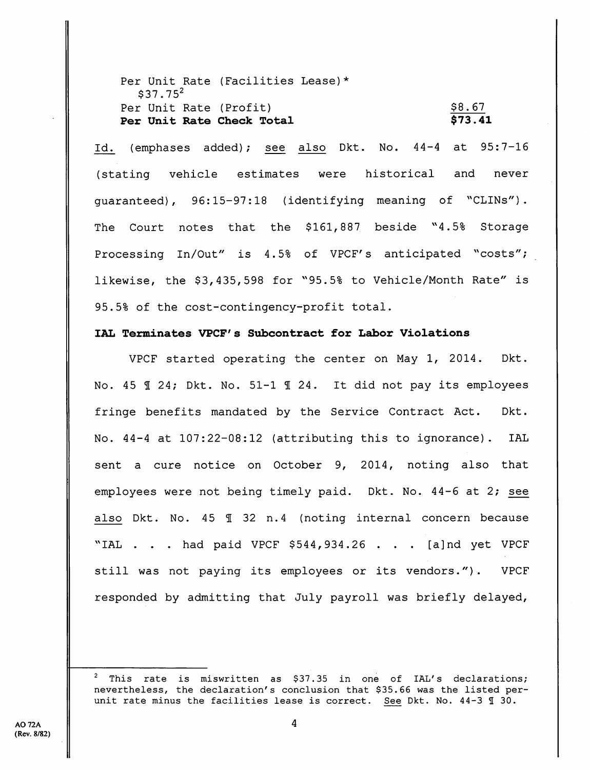Per Unit Rate (Facilities Lease)\*  $$37.75^2$ Per Unit Rate (Profit) Per Unit Rate Check Total \$8.67  $573.41$ 

Id. (emphases added); see also Dkt. No. 44-4 at 95:7-16 (stating vehicle estimates were historical and never guaranteed), 96:15-97:18 (identifying meaning of ''CLINs") . The Court notes that the  $$161,887$  beside  $"4.5%$  Storage Processing In/Out" is 4.5% of VPCF's anticipated "costs"; likewise, the \$3,435,598 for "95.5% to Vehicle/Month Rate" is 95.5% of the cost-contingency-profit total.

## lAL Terminates VPCF's Subcontract for Labor Violations

VPCF started operating the center on May 1, 2014. Dkt. No. 45  $\text{\textsterling}$  24; Dkt. No. 51-1  $\text{\textsterling}$  24. It did not pay its employees fringe benefits mandated by the Service Contract Act. Dkt. No. 44-4 at 107:22-08:12 (attributing this to ignorance). IAL sent a cure notice on October 9, 2014, noting also that employees were not being timely paid. Dkt. No. 44-6 at 2; see also Dkt. No.  $45 \text{ } \text{\textsterling} 32 \text{ n.4}$  (noting internal concern because "IAL . . . had paid VPCF \$544, 934.26 . . . [a]nd yet VPCF still was not paying its employees or its vendors."). VPCF responded by admitting that July payroll was briefly delayed.

This rate is miswritten as \$37.35 in one of IAL's declarations; nevertheless, the declaration's conclusion that \$35.66 was the listed perunit rate minus the facilities lease is correct. See Dkt. No.  $44-3$   $\text{\textsterling}$  30.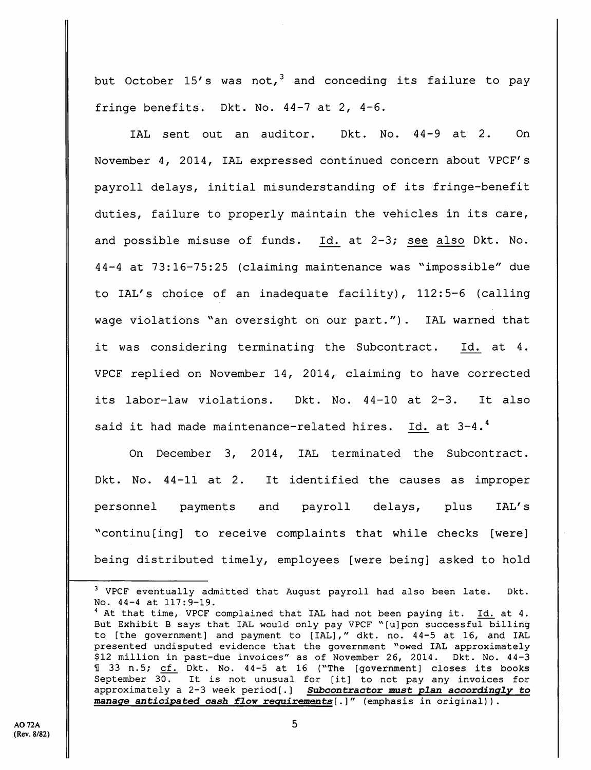but October 15's was not,<sup>3</sup> and conceding its failure to pay fringe benefits. Dkt. No. 44-7 at 2, 4-6.

lAL sent out an auditor. Dkt. No. 44-9 at 2. On November 4, 2014, lAL expressed continued concern about VPCF's payroll delays, initial misunderstanding of its fringe-benefit duties, failure to properly maintain the vehicles in its care, and possible misuse of funds. Id. at 2-3; see also Dkt. No. 44-4 at 73:16-75:25 (claiming maintenance was "impossible" due to lAL's choice of an inadequate facility), 112:5-6 (calling wage violations "an oversight on our part."). IAL warned that it was considering terminating the Subcontract. Id. at 4. VPCF replied on November 14, 2014, claiming to have corrected its labor-law violations. Dkt. No. 44-10 at 2-3. It also said it had made maintenance-related hires. Id. at  $3-4.^4$ 

On December 3, 2014, lAL terminated the Subcontract. Dkt. No. 44-11 at 2. It identified the causes as improper personnel payments and payroll delays, plus lAL's "continu[ing] to receive complaints that while checks [were] being distributed timely, employees [were being] asked to hold

 $3$  VPCF eventually admitted that August payroll had also been late. Dkt. No. 44-4 at 117:9-19.

 $4$  At that time, VPCF complained that IAL had not been paying it. Id. at  $4$ . But Exhibit B says that lAL would only pay VPCF "[u]pon successful billing to [the government] and payment to [lAL]," dkt. no. 44-5 at 16, and lAL presented undisputed evidence that the government "owed IAL approximately \$12 million in past-due invoices" as of November 26, 2014. Dkt. No. 44-3 1 33 n.5; cf. Dkt. No. 44-5 at 16 ("The [government] closes its books September  $30.$  It is not unusual for [it] to not pay any invoices for approximately a 2-3 week period[.] Subcontractor must plan accordingly to Subcontractor must plan accordingly to manage anticipated cash flow requirements[.]" (emphasis in original)).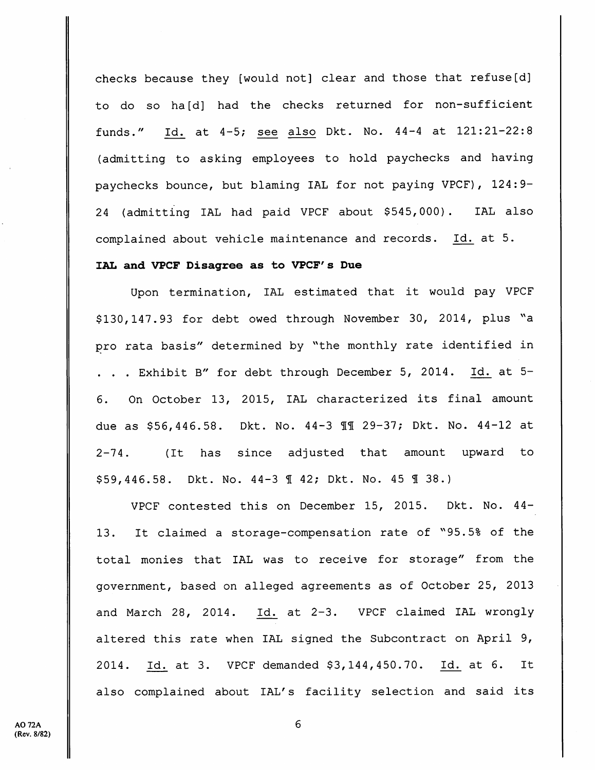checks because they [would not] clear and those that refuse[d] to do so ha[d] had the checks returned for non-sufficient funds." Id. at 4-5; see also Dkt. No. 44-4 at 121:21-22:8 (admitting to asking employees to hold paychecks and having paychecks bounce, but blaming lAL for not paying VPCF), 124:9- 24 (admitting lAL had paid VPCF about \$545, 000). lAL also complained about vehicle maintenance and records. Id. at 5.

## lAL and VPCF Disagree as to VPCF's Due

Upon termination, lAL estimated that it would pay VPCF \$130,147.93 for debt owed through November 30, 2014, plus "a pro rata basis" determined by "the monthly rate identified in . . . Exhibit B" for debt through December 5, 2014. Id. at 5- 6. On October 13, 2015, lAL characterized its final amount due as \$56,446.58. Dkt. No. 44-3 11 29-37; Dkt. No. 44-12 at 2-74. (It has since adjusted that amount upward to  $$59,446.58$ . Dkt. No.  $44-3$   $[$   $42;$  Dkt. No.  $45$   $[$   $]$   $38.$ )

VPCF contested this on December 15, 2015. Dkt. No. 44- 13. It claimed a storage-compensation rate of ''95.5% of the total monies that lAL was to receive for storage" from the government, based on alleged agreements as of October 25, 2013 and March 28, 2014. Id. at 2-3. VPCF claimed lAL wrongly altered this rate when lAL signed the Subcontract on April 9, 2014. Id. at 3. VPCF demanded \$3,144,450.70. Id. at 6. It also complained about lAL's facility selection and said its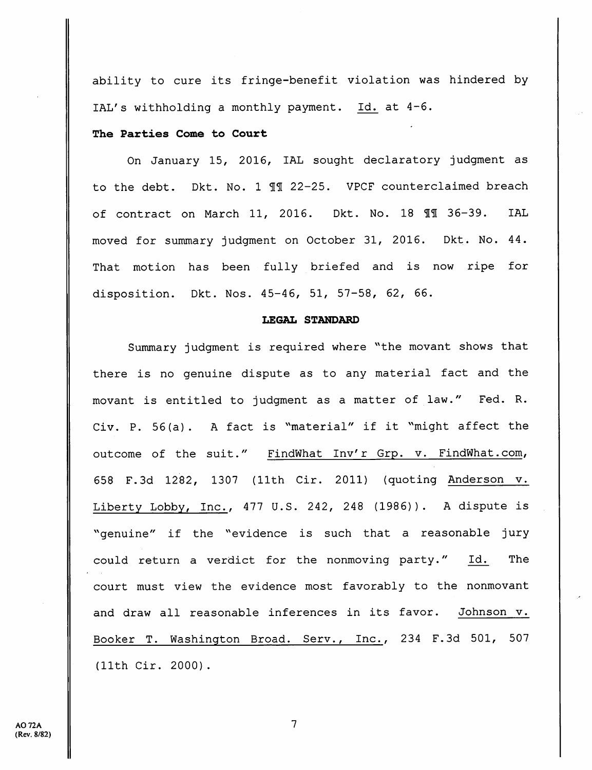ability to cure its fringe-benefit violation was hindered by lAL's withholding a monthly payment. Id. at 4-6.

## The Parties Come to Court

On January 15, 2016, lAL sought declaratory judgment as to the debt. Dkt. No. 1 11 22-25. VPCF counterclaimed breach of contract on March 11, 2016. Dkt. No. 18 II 36-39. IAL moved for summary judgment on October 31, 2016. Dkt. No. 44. That motion has been fully briefed and is now ripe for disposition. Dkt. Nos. 45-46, 51, 57-58, 62, 66.

#### LEGAL STANDARD

Summary judgment is required where ^'the movant shows that there is no genuine dispute as to any material fact and the movant is entitled to judgment as a matter of law." Fed. R. Civ. P. 56(a). A fact is ^'material" if it ^'might affect the outcome of the suit." FindWhat Inv'r Grp. v. FindWhat.com, 658 F.3d 1282, 1307 (11th Cir. 2011) (quoting Anderson v. Liberty Lobby, Inc., 477 U.S. 242, 248 (1986)). A dispute is "genuine" if the "evidence is such that a reasonable jury could return a verdict for the nonmoving party." Id. The court must view the evidence most favorably to the nonmovant and draw all reasonable inferences in its favor. Johnson v. Booker T. Washington Broad. Serv., Inc., 234 F.3d 501, 507 (11th Cir. 2000).

 $\overline{7}$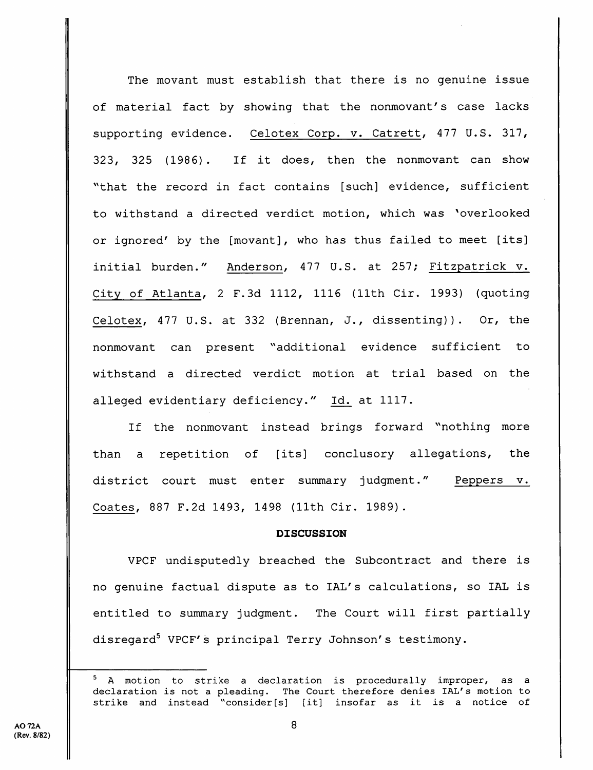The movant must establish that there is no genuine issue of material fact by showing that the nonmovant's case lacks supporting evidence. Celotex Corp. v. Catrett, 477 U.S. 317, 323, 325 (1986) . If it does, then the nonmovant can show "that the record in fact contains [such] evidence, sufficient to withstand a directed verdict motion, which was ^overlooked or ignored' by the [movant], who has thus failed to meet [its] initial burden." Anderson, 477 U.S. at 257; Fitzpatrick v. City of Atlanta, 2 F.3d 1112, 1116 (11th Cir. 1993) (quoting Celotex, 477 U.S. at 332 (Brennan, J., dissenting)). Or, the nonmovant can present ''additional evidence sufficient to withstand a directed verdict motion at trial based on the alleged evidentiary deficiency." Id. at 1117.

If the nonmovant instead brings forward "nothing more than a repetition of [its] conclusory allegations, the district court must enter summary judgment." Peppers v. Coates, 887 F.2d 1493, 1498 (11th Cir. 1989).

## DISCUSSION

VPCF undisputedly breached the Subcontract and there is no genuine factual dispute as to lAL's calculations, so lAL is entitled to summary judgment. The Court will first partially disregard<sup>5</sup> VPCF's principal Terry Johnson's testimony.

<sup>&</sup>lt;sup>5</sup> A motion to strike a declaration is procedurally improper, as a declaration is not a pleading. The Court therefore denies lAL's motion to strike and instead "consider[s] [it] insofar as it is a notice of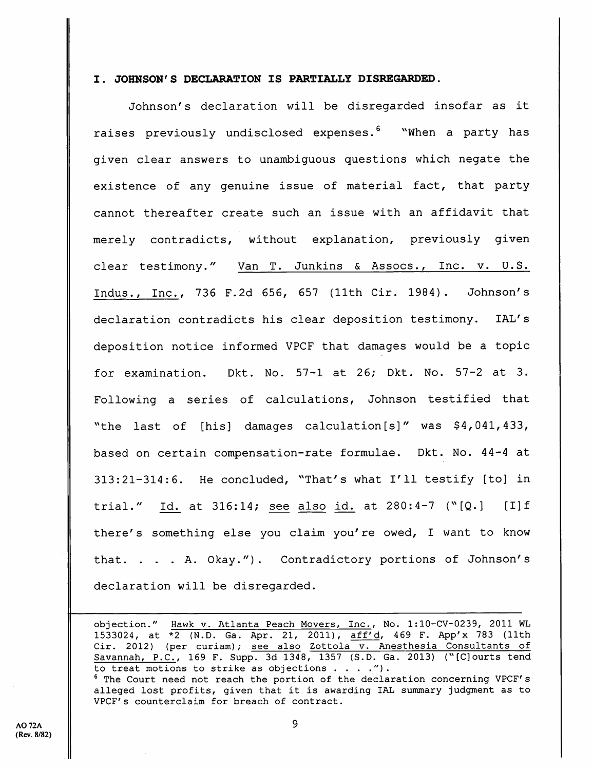## I. JOHNSON'S DECLARATION IS PARTIALLY DISREGARDED.

Johnson's declaration will be disregarded insofar as it raises previously undisclosed expenses.<sup>6</sup> "When a party has given clear answers to unambiguous questions which negate the existence of any genuine issue of material fact, that party cannot thereafter create such an issue with an affidavit that merely contradicts, without explanation, previously given clear testimony." Van T. Junkins & Assocs., Inc. v. U.S. Indus., Inc., 736 F.2d 656, 657 (11th Cir. 1984). Johnson's declaration contradicts his clear deposition testimony. lAL's deposition notice informed VPCF that damages would be a topic for examination. Dkt. No. 57-1 at 26; Dkt. No. 57-2 at 3. Following a series of calculations, Johnson testified that "the last of [his] damages calculation [s]" was \$4, 041, 433, based on certain compensation-rate formulae. Dkt. No. 44-4 at 313:21-314:6. He concluded, ^'That's what I'll testify [to] in trial." Id. at 316:14; see also id. at  $280:4-7$  ("[Q.] [I]f there's something else you claim you're owed, I want to know that. . . . A. Okay."). Contradictory portions of Johnson's declaration will be disregarded.

objection." Hawk v. Atlanta Peach Movers, Inc., No. 1:lO-CV-0239, 2011 WL 1533024, at \*2 (N.D. Ga. Apr. 21, 2011), aff'd, 469 F. App'x 783 (11th Cir. 2012) (per curiam); see also Zottola v. Anesthesia Consultants of Savannah, P.C., 169 F. Supp. 3d 1348, 1357 (S.D. Ga. 2013) ("[C]ourts tend to treat motions to strike as objections  $\ldots$  .").

® The Court need not reach the portion of the declaration concerning VPCF's alleged lost profits, given that it is awarding lAL summary judgment as to VPCF's counterclaim for breach of contract.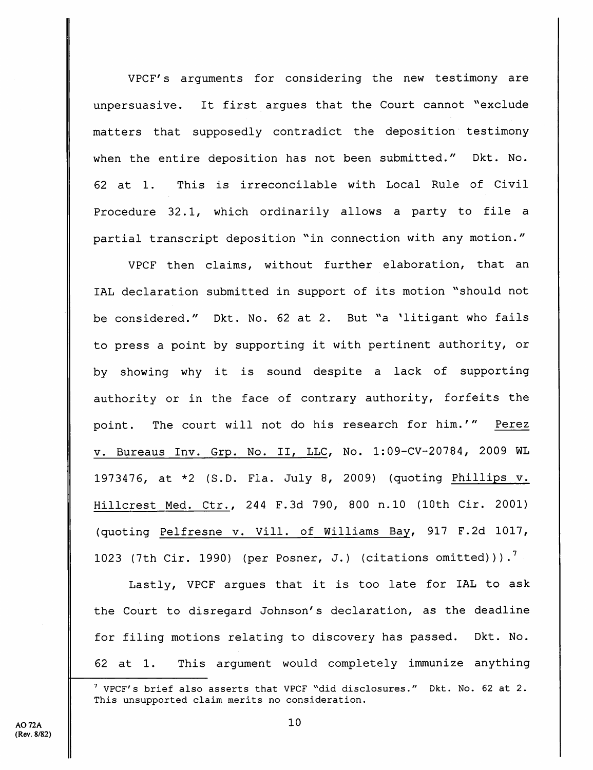VPCF's arguments for considering the new testimony are unpersuasive. It first arques that the Court cannot "exclude matters that supposedly contradict the deposition testimony when the entire deposition has not been submitted." Dkt. No. 62 at 1. This is irreconcilable with Local Rule of Civil Procedure 32.1, which ordinarily allows a party to file a partial transcript deposition "in connection with any motion."

VPCF then claims, without further elaboration, that an IAL declaration submitted in support of its motion "should not be considered." Dkt. No. 62 at 2. But "a 'litigant who fails to press a point by supporting it with pertinent authority, or by showing why it is sound despite a lack of supporting authority or in the face of contrary authority, forfeits the point. The court will not do his research for him.'" Perez V. Bureaus Inv. Grp. No. II, LLC, No. 1:09-CV-20784, 2009 WL 1973476, at \*2 {S.D. Fla. July 8, 2009) {quoting Phillips v. Hillcrest Med. Ctr., 244 F.3d 790, 800 n.lO (10th Cir. 2001) (quoting Pelfresne v. Vill. of Williams Bay, 917 F.2d 1017, 1023 (7th Cir. 1990) (per Posner, J.) (citations omitted))).<sup>7</sup>

Lastly, VPCF argues that it is too late for lAL to ask the Court to disregard Johnson's declaration, as the deadline for filing motions relating to discovery has passed. Dkt. No. 62 at 1. This argument would completely immunize anything

 $^7$  VPCF's brief also asserts that VPCF "did disclosures." Dkt. No. 62 at 2. This unsupported claim merits no consideration.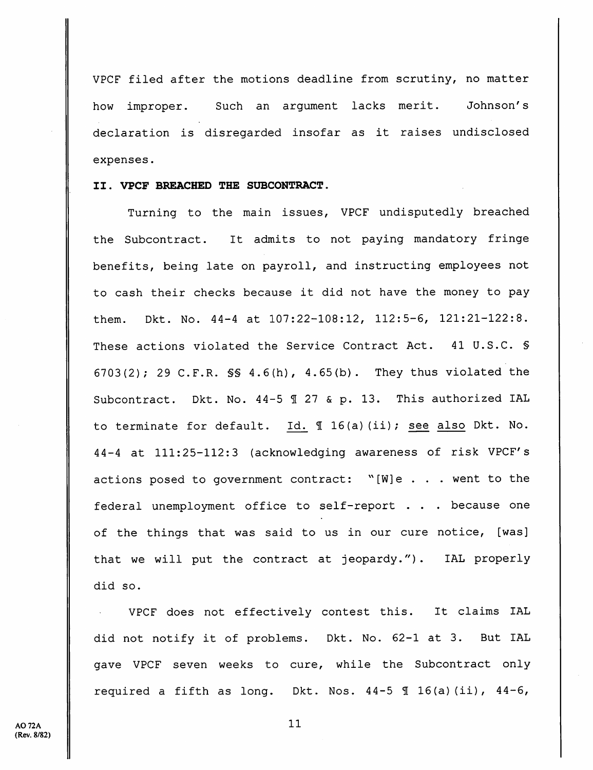VPCF filed after the motions deadline from scrutiny, no matter how improper. Such an argument lacks merit. Johnson's declaration is disregarded insofar as it raises undisclosed expenses.

## II. VPCF BREACHED THE SUBCONTRACT.

Turning to the main issues, VPCF undisputedly breached the Subcontract. It admits to not paying mandatory fringe benefits, being late on payroll, and instructing employees not to cash their checks because it did not have the money to pay them. Dkt. No. 44-4 at 107:22-108:12, 112:5-6, 121:21-122:8. These actions violated the Service Contract Act. 41 U.S.C. § 6703(2); 29 C.F.R. §§ 4.6(h), 4.65(b). They thus violated the Subcontract. Dkt. No.  $44-5$   $\text{\textsterling}$  27 & p. 13. This authorized IAL to terminate for default.  $Id. \nI 16(a) (ii);$  see also Dkt. No. 44-4 at 111:25-112:3 (acknowledging awareness of risk VPCF's actions posed to government contract: ''[W]e . . . went to the federal unemployment office to self-report . . . because one of the things that was said to us in our cure notice, [was] that we will put the contract at jeopardy."). lAL properly did so.

VPCF does not effectively contest this. It claims lAL did not notify it of problems. Dkt. No. 62-1 at 3. But lAL gave VPCF seven weeks to cure, while the Subcontract only required a fifth as long. Dkt. Nos.  $44-5 \text{ } \text{\ensuremath{\mathfrak{N}}}$  16(a)(ii),  $44-6$ ,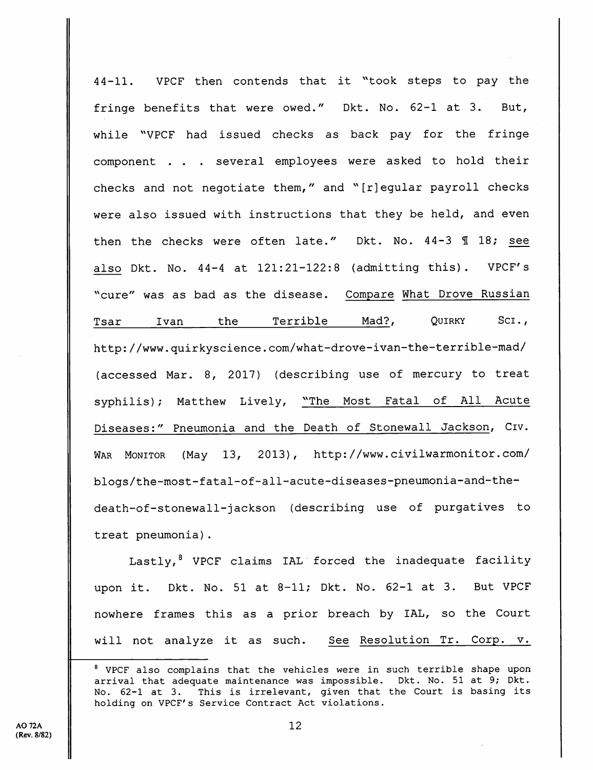44-11. VPCF then contends that it ^'took steps to pay the fringe benefits that were owed." Dkt. No. 62-1 at 3. But, while "VPCF had issued checks as back pay for the fringe component . . . several employees were asked to hold their checks and not negotiate them," and ''[r]egular payroll checks were also issued with instructions that they be held, and even then the checks were often late." Dkt. No.  $44-3$   $\text{\textsterling}18$ ; see also Dkt. No. 44-4 at 121:21-122:8 {admitting this). VPCF's ^'cure" was as bad as the disease. Compare What Drove Russian Tsar Ivan the Terrible Mad?, Quirky Sci., http://www.quirkyscience.com/what-drove-ivan-the-terrible-mad/ (accessed Mar. 8, 2017) (describing use of mercury to treat syphilis); Matthew Lively, "The Most Fatal of All Acute Diseases:" Pneumonia and the Death of Stonewall Jackson, Civ. War Monitor (May 13, 2013), http://www.civilwarmonitor.com/ blogs/the-most-fatal-of-al1-acute-diseases-pneumonia-and-thedeath-of-stonewall-jackson (describing use of purgatives to treat pneumonia).

Lastly,<sup>8</sup> VPCF claims IAL forced the inadequate facility upon it. Dkt. No. 51 at 8-11; Dkt. No. 62-1 at 3. But VPCF nowhere frames this as a prior breach by lAL, so the Court will not analyze it as such. See Resolution Tr. Corp. v.

<sup>®</sup> VPCF also complains that the vehicles were in such terrible shape upon arrival that adequate maintenance was impossible. Dkt. No. 51 at 9; Dkt.<br>No. 62-1 at 3. This is irrelevant, given that the Court is basing its This is irrelevant, given that the Court is basing its holding on VPCF's Service Contract Act violations.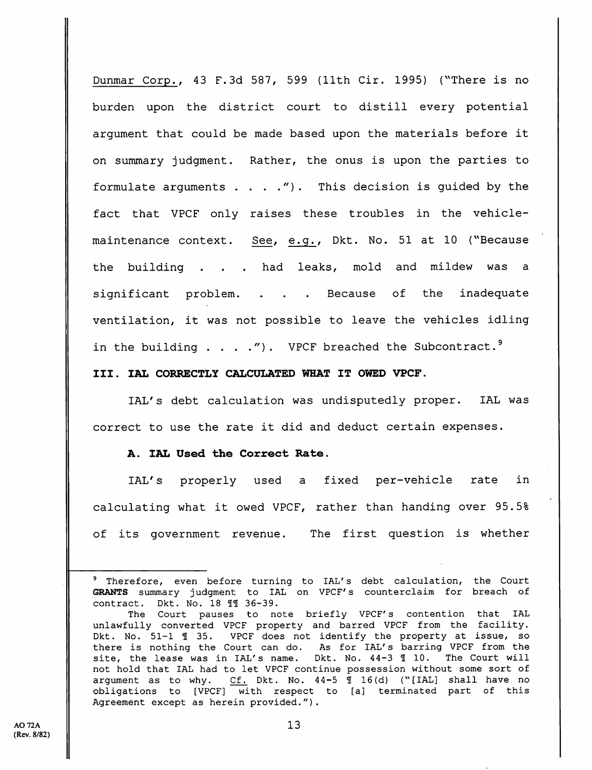Dunmar Corp., 43 F.3d 587, 599 (11th Cir. 1995) ("There is no burden upon the district court to distill every potential argument that could be made based upon the materials before it on summary judgment. Rather, the onus is upon the parties to formulate arguments  $\ldots$  . . . . . This decision is guided by the fact that VPCF only raises these troubles in the vehiclemaintenance context. See, e.g., Dkt. No. 51 at 10 ("Because the building . . . had leaks, mold and mildew was a significant problem. . . . Because of the inadequate ventilation, it was not possible to leave the vehicles idling in the building  $\ldots$  . ."). VPCF breached the Subcontract.<sup>9</sup>

## III. lAL CORRECTLY CALCULATED WHAT IT OWED VPCF.

lAL's debt calculation was undisputedly proper. lAL was correct to use the rate it did and deduct certain expenses.

## A. lAL Used the Correct Rate.

lAL's properly used a fixed per-vehicle rate in calculating what it owed VPCF, rather than handing over 95.5% of its government revenue. The first question is whether

<sup>&</sup>lt;sup>9</sup> Therefore, even before turning to IAL's debt calculation, the Court GRANTS summary judgment to lAL on VPCF's counterclaim for breach of contract. Dkt. No. 18 11 36-39.

The Court pauses to note briefly VPCF's contention that lAL unlawfully converted VPCF property and barred VPCF from the facility. Dkt. No. 51-1 ¶ 35. VPCF does not identify the property at issue, so there is nothing the Court can do. As for IAL's barring VPCF from the site, the lease was in IAL's name. Dkt. No. 44-3 1 10. The Court will site, the lease was in IAL's name. not hold that lAL had to let VPCF continue possession without some sort of argument as to why. Cf. Dkt. No.  $44-5 \text{ } \text{\ensuremath{\mathfrak{I} }}$  16(d) ("[IAL] shall have no obligations to [VPCF] with respect to [a] terminated part of this Agreement except as herein provided.").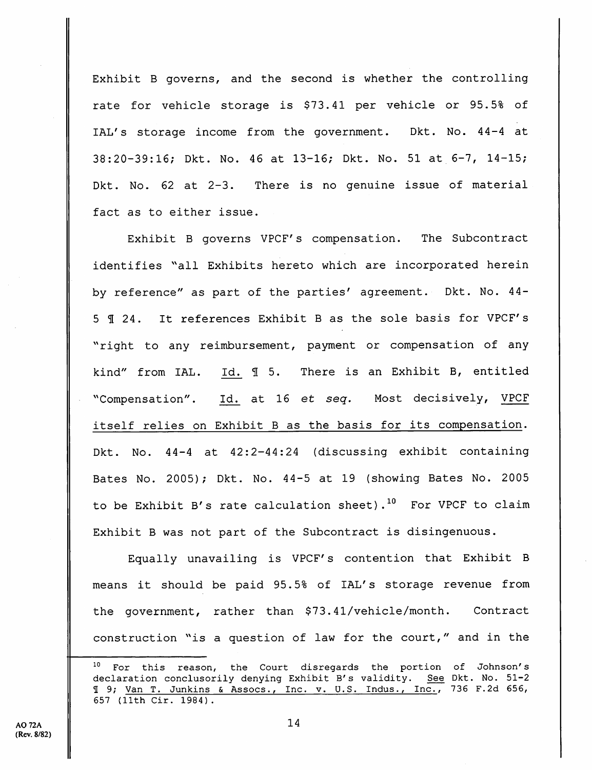Exhibit B governs, and the second is whether the controlling rate for vehicle storage is \$73.41 per vehicle or 95.5% of lAL's storage income from the government. Dkt. No. 44-4 at 38:20-39:16; Dkt. No. 46 at 13-16; Dkt. No. 51 at 6-7, 14-15; Dkt. No. 62 at 2-3. There is no genuine issue of material fact as to either issue.

Exhibit B governs VPCF's compensation. The Subcontract identifies "all Exhibits hereto which are incorporated herein by reference" as part of the parties' agreement. Dkt. No. 44- 5 5 24. It references Exhibit B as the sole basis for VPCF's "right to any reimbursement, payment or compensation of any kind" from IAL. Id. 15. There is an Exhibit B, entitled "Compensation". Id. at 16 et seq. Most decisively, VPCF itself relies on Exhibit B as the basis for its compensation. Dkt. No. 44-4 at 42:2-44:24 (discussing exhibit containing Bates No. 2005); Dkt. No. 44-5 at 19 (showing Bates No. 2005 to be Exhibit B's rate calculation sheet).<sup>10</sup> For VPCF to claim Exhibit B was not part of the Subcontract is disingenuous.

Equally unavailing is VPCF's contention that Exhibit B means it should be paid 95.5% of lAL's storage revenue from the government, rather than \$73.41/vehicle/month. Contract construction "is a question of law for the court," and in the

 $10<sub>1</sub>$ For this reason, the Court disregards the portion of Johnson's declaration conclusorily denying Exhibit B's validity. See Dkt. No. 51-2 I 9; Van T. Junkins & Assocs., Inc. v. U.S. Indus., Inc., 736 F.2d 656, 657 (llth Cir. 1984).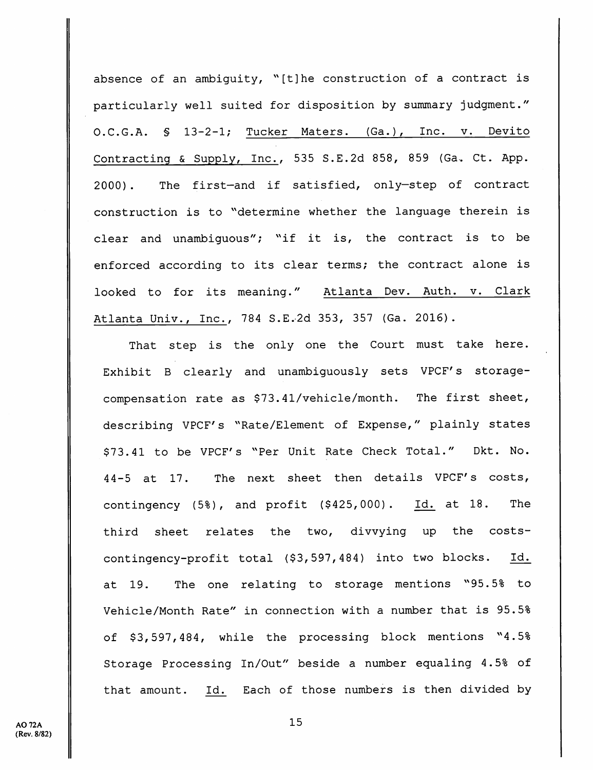absence of an ambiguity, "[t]he construction of a contract is particularly well suited for disposition by summary judgment." O.C.G.A. § 13-2-1; Tucker Maters. (Ga.), Inc. v. Devito Contracting & Supply, Inc., 535 S.E.2d 858, 859 (Ga. Ct. App. 2000). The first—and if satisfied, only—step of contract construction is to "determine whether the language therein is clear and unambiguous"; "if it is, the contract is to be enforced according to its clear terms; the contract alone is looked to for its meaning." Atlanta Dev. Auth. v. Clark Atlanta Univ., Inc., 784 S.E.2d 353, 357 (Ga. 2016).

That step is the only one the Court must take here. Exhibit B clearly and unambiguously sets VPCF's storagecompensation rate as \$73.41/vehicle/month. The first sheet, describing VPCF's ''Rate/Element of Expense," plainly states \$73.41 to be VPCF's "Per Unit Rate Check Total." Dkt. No. 44-5 at 17. The next sheet then details VPCF's costs, contingency (5%), and profit (\$425,000). Id. at 18. The third sheet relates the two, divvying up the costscontingency-profit total (\$3, 597, 484) into two blocks. Id. at 19. The one relating to storage mentions "95.5% to Vehicle/Month Rate" in connection with a number that is 95.5% of \$3,597,484, while the processing block mentions "4.5% Storage Processing In/Out" beside a number equaling 4.5% of that amount. Id. Each of those numbers is then divided by

**AO 72A** (Rev. 8/82)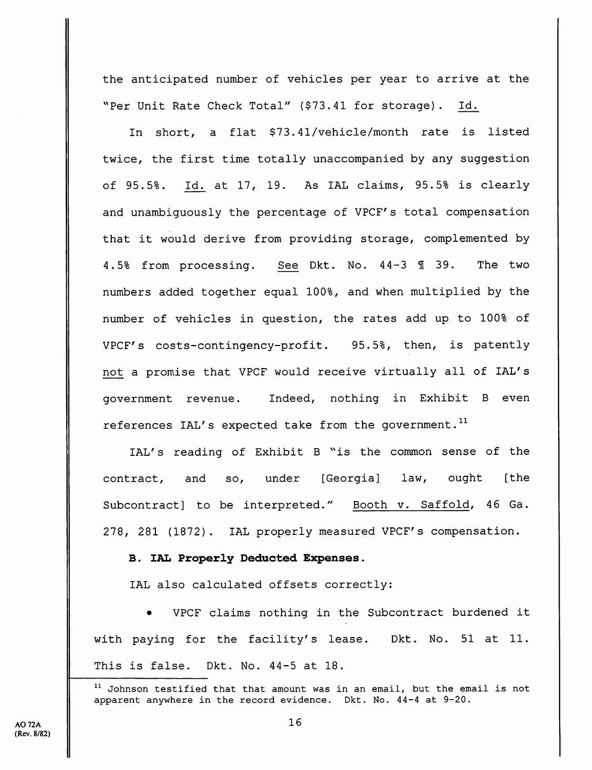the anticipated number of vehicles per year to arrive at the "Per Unit Rate Check Total" (\$73.41 for storage). Id.

In short, a flat \$73.41/vehicle/month rate is listed twice, the first time totally unaccompanied by any suggestion of 95.5%. Id. at 17, 19. As lAL claims, 95.5% is clearly and unambiguously the percentage of VPCF's total compensation that it would derive from providing storage, complemented by 4.5% from processing. See Dkt. No. 44-3 1 39. The two numbers added together equal 100%, and when multiplied by the number of vehicles in question, the rates add up to 100% of VPCF's costs-contingency-profit. 95.5%, then, is patently not a promise that VPCF would receive virtually all of lAL's government revenue. Indeed, nothing in Exhibit B even references IAL's expected take from the government.<sup>11</sup>

IAL's reading of Exhibit B "is the common sense of the contract, and so, under [Georgia] law, ought [the Subcontract] to be interpreted." Booth v. Saffold, 46 Ga. 278, 281 (1872). lAL properly measured VPCF's compensation.

## B. lAL Properly Deducted Expenses.

lAL also calculated offsets correctly:

• VPCF claims nothing in the Subcontract burdened it with paying for the facility's lease. Dkt. No. 51 at 11. This is false. Dkt. No. 44-5 at 18.

 $11$  Johnson testified that that amount was in an email, but the email is not apparent anywhere in the record evidence. Dkt. No. 44-4 at 9-20.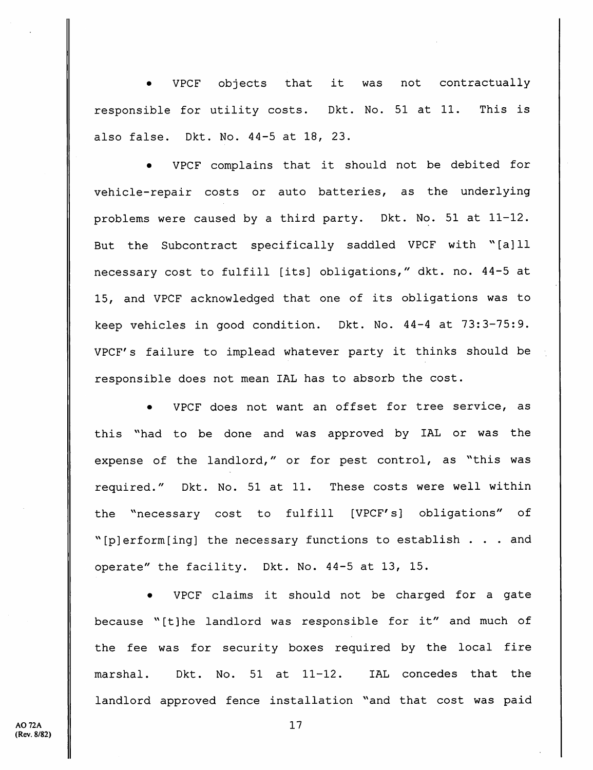• VPCF objects that it was not contractually responsible for utility costs. Dkt. No. 51 at 11. This is also false. Dkt. No. 44-5 at 18, 23.

VPCF complains that it should not be debited for vehicle-repair costs or auto batteries, as the underlying problems were caused by a third party. Dkt. No. 51 at 11-12. But the Subcontract specifically saddled VPCF with ^^[a]ll necessary cost to fulfill [its] obligations," dkt. no. 44-5 at 15, and VPCF acknowledged that one of its obligations was to keep vehicles in good condition. Dkt. No. 44-4 at 73:3-75:9. VPCF's failure to implead whatever party it thinks should be responsible does not mean lAL has to absorb the cost.

VPCF does not want an offset for tree service, as this "had to be done and was approved by IAL or was the expense of the landlord," or for pest control, as "this was required." Dkt. No. 51 at 11. These costs were well within the ^'necessary cost to fulfill [VPCF's] obligations" of "[p] erform[ing] the necessary functions to establish  $\ldots$  and operate" the facility. Dkt. No. 44-5 at 13, 15.

• VPCF claims it should not be charged for a gate because ^'[t]he landlord was responsible for it" and much of the fee was for security boxes required by the local fire marshal. Dkt. No. 51 at 11-12. IAL concedes that the landlord approved fence installation "and that cost was paid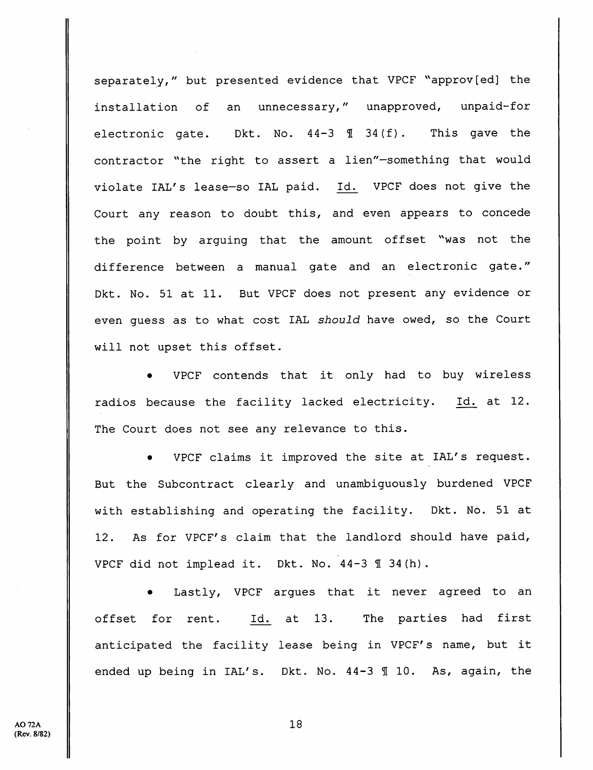separately," but presented evidence that VPCF "approv[ed] the installation of an unnecessary," unapproved, unpaid-for electronic gate. Dkt. No.  $44-3 \text{ } \text{\textsterling} 34(f)$ . This gave the contractor "the right to assert a lien"-something that would violate lAL's lease-so lAL paid. Id. VPCF does not give the Court any reason to doubt this, and even appears to concede the point by arguing that the amount offset "was not the difference between a manual gate and an electronic gate." Dkt. No. 51 at 11. But VPCF does not present any evidence or even guess as to what cost lAL should have owed, so the Court will not upset this offset.

• VPCF contends that it only had to buy wireless radios because the facility lacked electricity. Id. at 12. The Court does not see any relevance to this.

• VPCF claims it improved the site at lAL's request. But the Subcontract clearly and unambiguously burdened VPCF with establishing and operating the facility. Dkt. No. 51 at 12. As for VPCF's claim that the landlord should have paid, VPCF did not implead it. Dkt. No. 44-3 ¶ 34(h).

Lastly, VPCF argues that it never agreed to an offset for rent. Id. at 13. The parties had first anticipated the facility lease being in VPCF's name, but it ended up being in IAL's. Dkt. No. 44-3 110. As, again, the